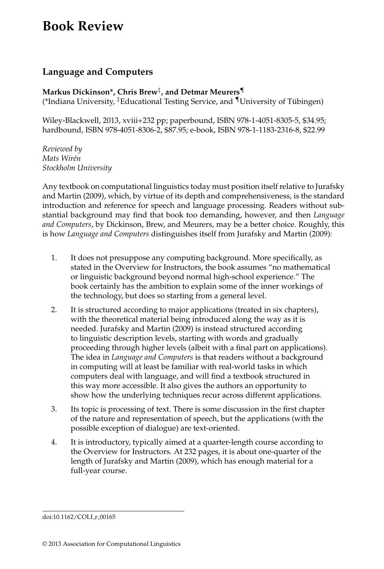## **Book Review**

## **Language and Computers**

**Markus Dickinson\*, Chris Brew**‡**, and Detmar Meurers**¶ (\*Indiana University,  ${}^{\ddagger}$ Educational Testing Service, and  $\P$ University of Tübingen)

Wiley-Blackwell, 2013, xviii+232 pp; paperbound, ISBN 978-1-4051-8305-5, \$34.95; hardbound, ISBN 978-4051-8306-2, \$87.95; e-book, ISBN 978-1-1183-2316-8, \$22.99

*Reviewed by Mats Wir´en Stockholm University*

Any textbook on computational linguistics today must position itself relative to Jurafsky and Martin (2009), which, by virtue of its depth and comprehensiveness, is the standard introduction and reference for speech and language processing. Readers without substantial background may find that book too demanding, however, and then *Language and Computers*, by Dickinson, Brew, and Meurers, may be a better choice. Roughly, this is how *Language and Computers* distinguishes itself from Jurafsky and Martin (2009):

- 1. It does not presuppose any computing background. More specifically, as stated in the Overview for Instructors, the book assumes "no mathematical or linguistic background beyond normal high-school experience." The book certainly has the ambition to explain some of the inner workings of the technology, but does so starting from a general level.
- 2. It is structured according to major applications (treated in six chapters), with the theoretical material being introduced along the way as it is needed. Jurafsky and Martin (2009) is instead structured according to linguistic description levels, starting with words and gradually proceeding through higher levels (albeit with a final part on applications). The idea in *Language and Computers* is that readers without a background in computing will at least be familiar with real-world tasks in which computers deal with language, and will find a textbook structured in this way more accessible. It also gives the authors an opportunity to show how the underlying techniques recur across different applications.
- 3. Its topic is processing of text. There is some discussion in the first chapter of the nature and representation of speech, but the applications (with the possible exception of dialogue) are text-oriented.
- 4. It is introductory, typically aimed at a quarter-length course according to the Overview for Instructors. At 232 pages, it is about one-quarter of the length of Jurafsky and Martin (2009), which has enough material for a full-year course.

doi:10.1162/COLI\_r\_00165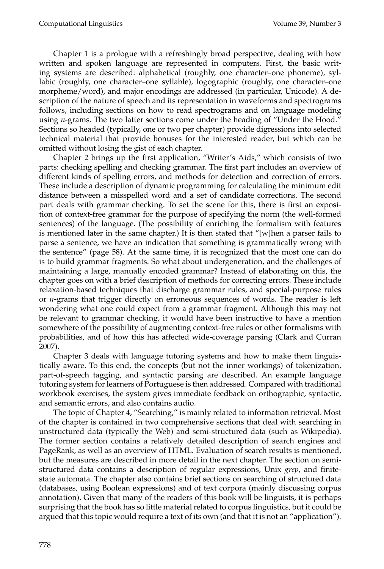Chapter 1 is a prologue with a refreshingly broad perspective, dealing with how written and spoken language are represented in computers. First, the basic writing systems are described: alphabetical (roughly, one character–one phoneme), syllabic (roughly, one character–one syllable), logographic (roughly, one character–one morpheme/word), and major encodings are addressed (in particular, Unicode). A description of the nature of speech and its representation in waveforms and spectrograms follows, including sections on how to read spectrograms and on language modeling using *n*-grams. The two latter sections come under the heading of "Under the Hood." Sections so headed (typically, one or two per chapter) provide digressions into selected technical material that provide bonuses for the interested reader, but which can be omitted without losing the gist of each chapter.

Chapter 2 brings up the first application, "Writer's Aids," which consists of two parts: checking spelling and checking grammar. The first part includes an overview of different kinds of spelling errors, and methods for detection and correction of errors. These include a description of dynamic programming for calculating the minimum edit distance between a misspelled word and a set of candidate corrections. The second part deals with grammar checking. To set the scene for this, there is first an exposition of context-free grammar for the purpose of specifying the norm (the well-formed sentences) of the language. (The possibility of enriching the formalism with features is mentioned later in the same chapter.) It is then stated that "[w]hen a parser fails to parse a sentence, we have an indication that something is grammatically wrong with the sentence" (page 58). At the same time, it is recognized that the most one can do is to build grammar fragments. So what about undergeneration, and the challenges of maintaining a large, manually encoded grammar? Instead of elaborating on this, the chapter goes on with a brief description of methods for correcting errors. These include relaxation-based techniques that discharge grammar rules, and special-purpose rules or *n*-grams that trigger directly on erroneous sequences of words. The reader is left wondering what one could expect from a grammar fragment. Although this may not be relevant to grammar checking, it would have been instructive to have a mention somewhere of the possibility of augmenting context-free rules or other formalisms with probabilities, and of how this has affected wide-coverage parsing (Clark and Curran 2007).

Chapter 3 deals with language tutoring systems and how to make them linguistically aware. To this end, the concepts (but not the inner workings) of tokenization, part-of-speech tagging, and syntactic parsing are described. An example language tutoring system for learners of Portuguese is then addressed. Compared with traditional workbook exercises, the system gives immediate feedback on orthographic, syntactic, and semantic errors, and also contains audio.

The topic of Chapter 4, "Searching," is mainly related to information retrieval. Most of the chapter is contained in two comprehensive sections that deal with searching in unstructured data (typically the Web) and semi-structured data (such as Wikipedia). The former section contains a relatively detailed description of search engines and PageRank, as well as an overview of HTML. Evaluation of search results is mentioned, but the measures are described in more detail in the next chapter. The section on semistructured data contains a description of regular expressions, Unix *grep*, and finitestate automata. The chapter also contains brief sections on searching of structured data (databases, using Boolean expressions) and of text corpora (mainly discussing corpus annotation). Given that many of the readers of this book will be linguists, it is perhaps surprising that the book has so little material related to corpus linguistics, but it could be argued that this topic would require a text of its own (and that it is not an "application").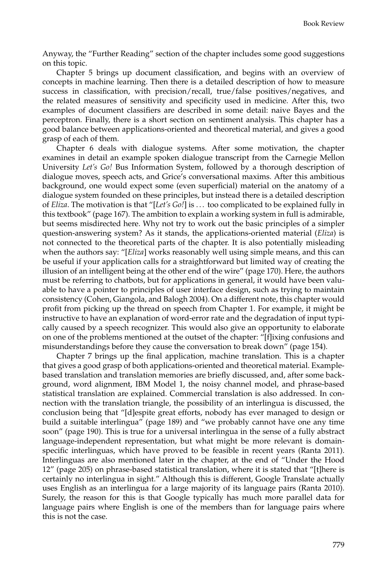Anyway, the "Further Reading" section of the chapter includes some good suggestions on this topic.

Chapter 5 brings up document classification, and begins with an overview of concepts in machine learning. Then there is a detailed description of how to measure success in classification, with precision/recall, true/false positives/negatives, and the related measures of sensitivity and specificity used in medicine. After this, two examples of document classifiers are described in some detail: naive Bayes and the perceptron. Finally, there is a short section on sentiment analysis. This chapter has a good balance between applications-oriented and theoretical material, and gives a good grasp of each of them.

Chapter 6 deals with dialogue systems. After some motivation, the chapter examines in detail an example spoken dialogue transcript from the Carnegie Mellon University *Let's Go!* Bus Information System, followed by a thorough description of dialogue moves, speech acts, and Grice's conversational maxims. After this ambitious background, one would expect some (even superficial) material on the anatomy of a dialogue system founded on these principles, but instead there is a detailed description of *Eliza*. The motivation is that "[*Let's Go!*] is . . . too complicated to be explained fully in this textbook" (page 167). The ambition to explain a working system in full is admirable, but seems misdirected here. Why not try to work out the basic principles of a simpler question-answering system? As it stands, the applications-oriented material (*Eliza*) is not connected to the theoretical parts of the chapter. It is also potentially misleading when the authors say: "[*Eliza*] works reasonably well using simple means, and this can be useful if your application calls for a straightforward but limited way of creating the illusion of an intelligent being at the other end of the wire" (page 170). Here, the authors must be referring to chatbots, but for applications in general, it would have been valuable to have a pointer to principles of user interface design, such as trying to maintain consistency (Cohen, Giangola, and Balogh 2004). On a different note, this chapter would profit from picking up the thread on speech from Chapter 1. For example, it might be instructive to have an explanation of word-error rate and the degradation of input typically caused by a speech recognizer. This would also give an opportunity to elaborate on one of the problems mentioned at the outset of the chapter: "[f]ixing confusions and misunderstandings before they cause the conversation to break down" (page 154).

Chapter 7 brings up the final application, machine translation. This is a chapter that gives a good grasp of both applications-oriented and theoretical material. Examplebased translation and translation memories are briefly discussed, and, after some background, word alignment, IBM Model 1, the noisy channel model, and phrase-based statistical translation are explained. Commercial translation is also addressed. In connection with the translation triangle, the possibility of an interlingua is discussed, the conclusion being that "[d]espite great efforts, nobody has ever managed to design or build a suitable interlingua" (page 189) and "we probably cannot have one any time soon" (page 190). This is true for a universal interlingua in the sense of a fully abstract language-independent representation, but what might be more relevant is domainspecific interlinguas, which have proved to be feasible in recent years (Ranta 2011). Interlinguas are also mentioned later in the chapter, at the end of "Under the Hood 12" (page 205) on phrase-based statistical translation, where it is stated that "[t]here is certainly no interlingua in sight." Although this is different, Google Translate actually uses English as an interlingua for a large majority of its language pairs (Ranta 2010). Surely, the reason for this is that Google typically has much more parallel data for language pairs where English is one of the members than for language pairs where this is not the case.